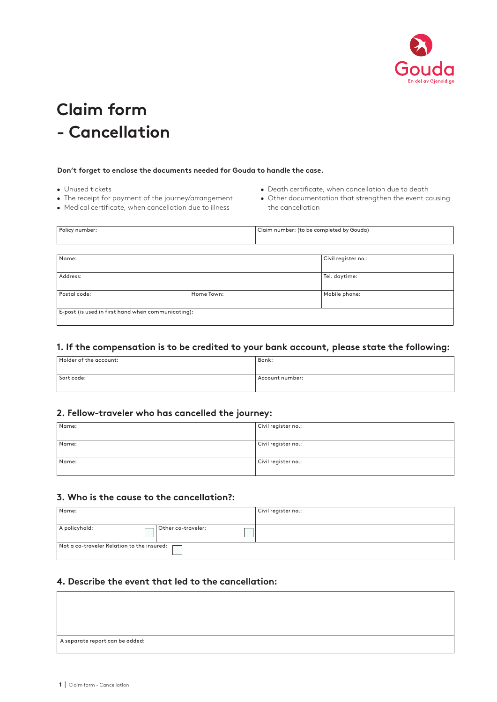

# **Claim form - Cancellation**

#### **Don't forget to enclose the documents needed for Gouda to handle the case.**

- Unused tickets
- The receipt for payment of the journey/arrangement
- Medical certificate, when cancellation due to illness
- Death certificate, when cancellation due to death
- Other documentation that strengthen the event causing the cancellation

| Policy number:                                     |            | Claim number: (to be completed by Gouda) |                     |
|----------------------------------------------------|------------|------------------------------------------|---------------------|
|                                                    |            |                                          |                     |
|                                                    |            |                                          |                     |
| Name:                                              |            |                                          | Civil register no.: |
|                                                    |            |                                          |                     |
| Address:                                           |            |                                          | Tel. daytime:       |
|                                                    |            |                                          |                     |
| Postal code:                                       | Home Town: |                                          | Mobile phone:       |
|                                                    |            |                                          |                     |
| E-post (is used in first hand when communicating): |            |                                          |                     |
|                                                    |            |                                          |                     |

#### **1. If the compensation is to be credited to your bank account, please state the following:**

| Holder of the account: | Bank:           |
|------------------------|-----------------|
|                        |                 |
| Sort code:             | Account number: |
|                        |                 |

#### **2. Fellow-traveler who has cancelled the journey:**

| Name: | Civil register no.: |
|-------|---------------------|
| Name: | Civil register no.: |
| Name: | Civil register no.: |

#### **3. Who is the cause to the cancellation?:**

| Name:                                           | Civil register no.: |
|-------------------------------------------------|---------------------|
| A policyhold:<br>Other co-traveler:             |                     |
| Not a co-traveler Relation to the insured: [73] |                     |

#### **4. Describe the event that led to the cancellation:**

| A separate report can be added: |  |  |
|---------------------------------|--|--|
|                                 |  |  |